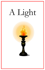## A Light